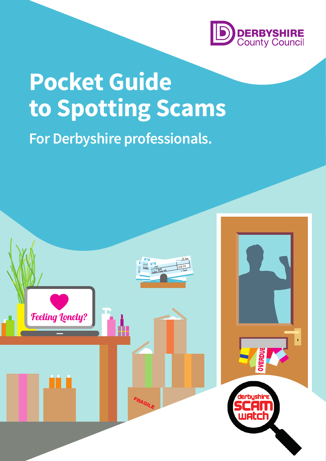

# **Pocket Guide to Spotting Scams**

**For Derbyshire professionals.**

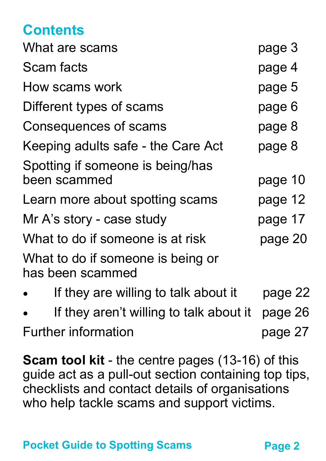### **Contents**

| What are scams                                        | page 3  |
|-------------------------------------------------------|---------|
| Scam facts                                            | page 4  |
| How scams work                                        | page 5  |
| Different types of scams                              | page 6  |
| Consequences of scams                                 | page 8  |
| Keeping adults safe - the Care Act                    | page 8  |
| Spotting if someone is being/has<br>been scammed      | page 10 |
| Learn more about spotting scams                       | page 12 |
| Mr A's story - case study                             | page 17 |
| What to do if someone is at risk                      | page 20 |
| What to do if someone is being or<br>has been scammed |         |
| If they are willing to talk about it                  | page 22 |
|                                                       |         |

 If they aren't willing to talk about it page 26 Further information example the page 27

**Scam tool kit** - the centre pages (13-16) of this guide act as a pull-out section containing top tips, checklists and contact details of organisations who help tackle scams and support victims.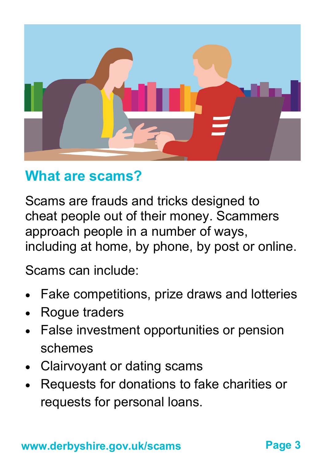

## **What are scams?**

Scams are frauds and tricks designed to cheat people out of their money. Scammers approach people in a number of ways, including at home, by phone, by post or online.

Scams can include:

- Fake competitions, prize draws and lotteries
- Rogue traders
- False investment opportunities or pension schemes
- Clairvoyant or dating scams
- Requests for donations to fake charities or requests for personal loans.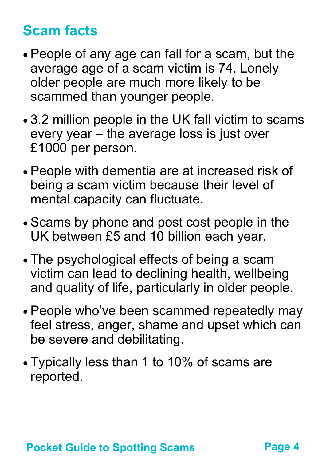# **Scam facts**

- People of any age can fall for a scam, but the average age of a scam victim is 74. Lonely older people are much more likely to be scammed than younger people.
- 3.2 million people in the UK fall victim to scams every year – the average loss is just over £1000 per person.
- People with dementia are at increased risk of being a scam victim because their level of mental capacity can fluctuate.
- Scams by phone and post cost people in the UK between £5 and 10 billion each year.
- The psychological effects of being a scam victim can lead to declining health, wellbeing and quality of life, particularly in older people.
- People who've been scammed repeatedly may feel stress, anger, shame and upset which can be severe and debilitating.
- Typically less than 1 to 10% of scams are reported.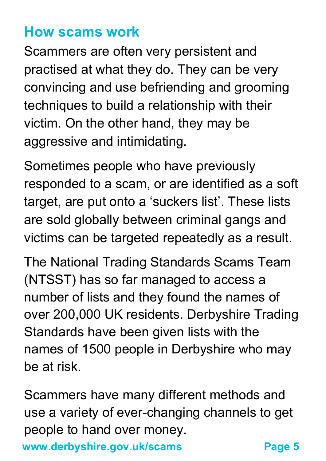## **How scams work**

Scammers are often very persistent and practised at what they do. They can be very convincing and use befriending and grooming techniques to build a relationship with their victim. On the other hand, they may be aggressive and intimidating.

Sometimes people who have previously responded to a scam, or are identified as a soft target, are put onto a 'suckers list'. These lists are sold globally between criminal gangs and victims can be targeted repeatedly as a result.

The National Trading Standards Scams Team (NTSST) has so far managed to access a number of lists and they found the names of over 200,000 UK residents. Derbyshire Trading Standards have been given lists with the names of 1500 people in Derbyshire who may be at risk.

Scammers have many different methods and use a variety of ever-changing channels to get people to hand over money.

**www.derbyshire.gov.uk/scams**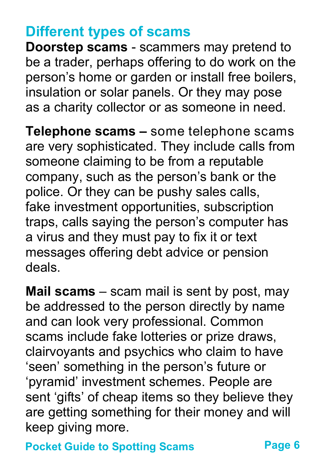## **Different types of scams**

**Doorstep scams** - scammers may pretend to be a trader, perhaps offering to do work on the person's home or garden or install free boilers, insulation or solar panels. Or they may pose as a charity collector or as someone in need.

**Telephone scams –** some telephone scams are very sophisticated. They include calls from someone claiming to be from a reputable company, such as the person's bank or the police. Or they can be pushy sales calls, fake investment opportunities, subscription traps, calls saying the person's computer has a virus and they must pay to fix it or text messages offering debt advice or pension deals.

**Mail scams** – scam mail is sent by post, may be addressed to the person directly by name and can look very professional. Common scams include fake lotteries or prize draws, clairvoyants and psychics who claim to have 'seen' something in the person's future or 'pyramid' investment schemes. People are sent 'gifts' of cheap items so they believe they are getting something for their money and will keep giving more.

**Pocket Guide to Spotting Scams**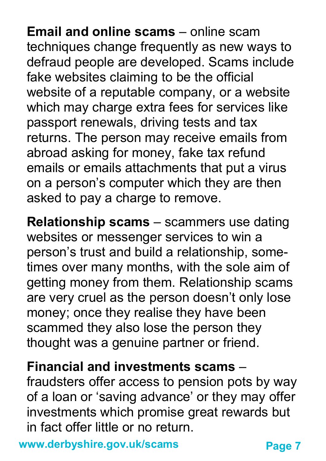**Email and online scams** – online scam techniques change frequently as new ways to defraud people are developed. Scams include fake websites claiming to be the official website of a reputable company, or a website which may charge extra fees for services like passport renewals, driving tests and tax returns. The person may receive emails from abroad asking for money, fake tax refund emails or emails attachments that put a virus on a person's computer which they are then asked to pay a charge to remove.

**Relationship scams** – scammers use dating websites or messenger services to win a person's trust and build a relationship, sometimes over many months, with the sole aim of getting money from them. Relationship scams are very cruel as the person doesn't only lose money; once they realise they have been scammed they also lose the person they thought was a genuine partner or friend.

#### **Financial and investments scams** –

fraudsters offer access to pension pots by way of a loan or 'saving advance' or they may offer investments which promise great rewards but in fact offer little or no return.

**www.derbyshire.gov.uk/scams**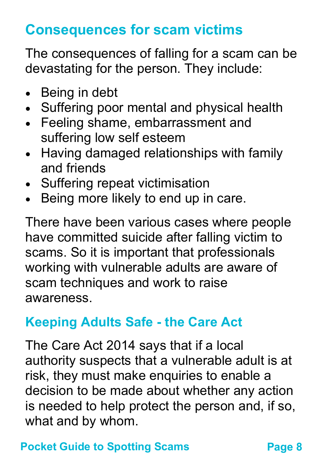# **Consequences for scam victims**

The consequences of falling for a scam can be devastating for the person. They include:

- Being in debt
- Suffering poor mental and physical health
- Feeling shame, embarrassment and suffering low self esteem
- Having damaged relationships with family and friends
- Suffering repeat victimisation
- Being more likely to end up in care.

There have been various cases where people have committed suicide after falling victim to scams. So it is important that professionals working with vulnerable adults are aware of scam techniques and work to raise awareness.

## **Keeping Adults Safe - the Care Act**

The Care Act 2014 says that if a local authority suspects that a vulnerable adult is at risk, they must make enquiries to enable a decision to be made about whether any action is needed to help protect the person and, if so, what and by whom.

#### **Pocket Guide to Spotting Scams**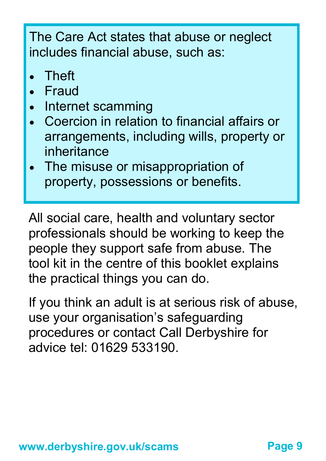The Care Act states that abuse or neglect includes financial abuse, such as:

- **Theft**
- Fraud
- Internet scamming
- Coercion in relation to financial affairs or arrangements, including wills, property or inheritance
- The misuse or misappropriation of property, possessions or benefits.

All social care, health and voluntary sector professionals should be working to keep the people they support safe from abuse. The tool kit in the centre of this booklet explains the practical things you can do.

If you think an adult is at serious risk of abuse, use your organisation's safeguarding procedures or contact Call Derbyshire for advice tel: 01629 533190.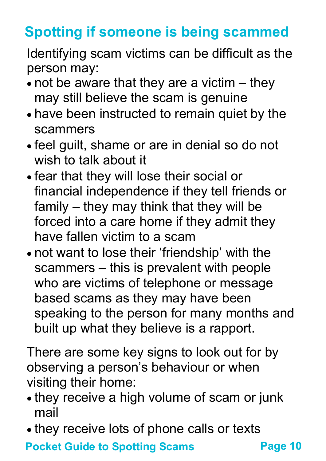# **Spotting if someone is being scammed**

Identifying scam victims can be difficult as the person may:

- $\bullet$  not be aware that they are a victim  $-$  they may still believe the scam is genuine
- have been instructed to remain quiet by the scammers
- feel guilt, shame or are in denial so do not wish to talk about it
- fear that they will lose their social or financial independence if they tell friends or family – they may think that they will be forced into a care home if they admit they have fallen victim to a scam
- not want to lose their 'friendship' with the scammers – this is prevalent with people who are victims of telephone or message based scams as they may have been speaking to the person for many months and built up what they believe is a rapport.

There are some key signs to look out for by observing a person's behaviour or when visiting their home:

- they receive a high volume of scam or junk mail
- they receive lots of phone calls or texts

**Pocket Guide to Spotting Scams**

**Page 10**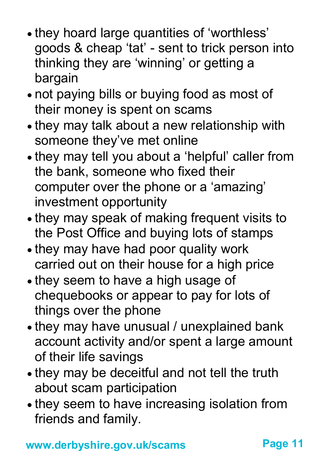- they hoard large quantities of 'worthless' goods & cheap 'tat' - sent to trick person into thinking they are 'winning' or getting a bargain
- not paying bills or buying food as most of their money is spent on scams
- they may talk about a new relationship with someone they've met online
- they may tell you about a 'helpful' caller from the bank, someone who fixed their computer over the phone or a 'amazing' investment opportunity
- they may speak of making frequent visits to the Post Office and buying lots of stamps
- they may have had poor quality work carried out on their house for a high price
- they seem to have a high usage of chequebooks or appear to pay for lots of things over the phone
- they may have unusual / unexplained bank account activity and/or spent a large amount of their life savings
- they may be deceitful and not tell the truth about scam participation
- they seem to have increasing isolation from friends and family.

**www.derbyshire.gov.uk/scams Page 11**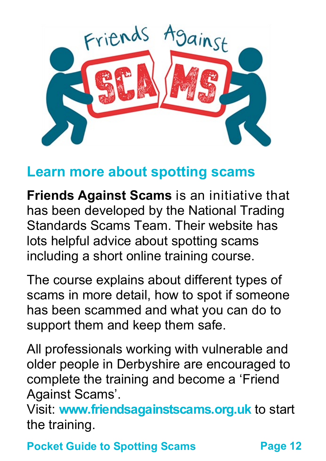

## **Learn more about spotting scams**

**Friends Against Scams** is an initiative that has been developed by the National Trading Standards Scams Team. Their website has lots helpful advice about spotting scams including a short online training course.

The course explains about different types of scams in more detail, how to spot if someone has been scammed and what you can do to support them and keep them safe.

All professionals working with vulnerable and older people in Derbyshire are encouraged to complete the training and become a 'Friend Against Scams'.

Visit: **[www.friendsagainstscams.org.uk](http://www.friendsagainstscams.org.uk)** to start the training.

**Pocket Guide to Spotting Scams Page 12**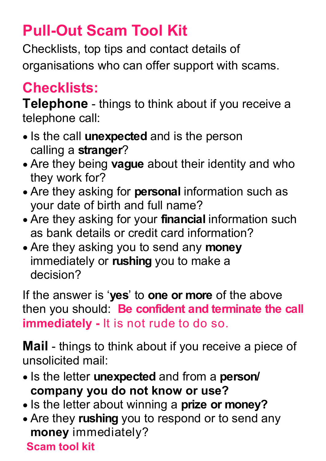# **Pull-Out Scam Tool Kit**

Checklists, top tips and contact details of organisations who can offer support with scams.

# **Checklists:**

**Telephone** - things to think about if you receive a telephone call:

- Is the call **unexpected** and is the person calling a **stranger**?
- Are they being **vague** about their identity and who they work for?
- Are they asking for **personal** information such as your date of birth and full name?
- Are they asking for your **financial** information such as bank details or credit card information?
- Are they asking you to send any **money**  immediately or **rushing** you to make a decision?

If the answer is '**yes**' to **one or more** of the above then you should: **Be confident and terminate the call immediately -** It is not rude to do so.

**Mail** - things to think about if you receive a piece of unsolicited mail:

- Is the letter **unexpected** and from a **person/ company you do not know or use?**
- Is the letter about winning a **prize or money?**
- Are they **rushing** you to respond or to send any **money** immediately?

#### **Scam tool kit**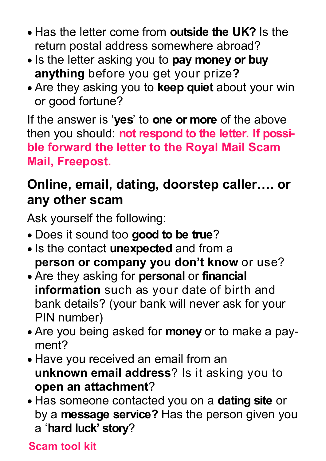- Has the letter come from **outside the UK?** Is the return postal address somewhere abroad?
- Is the letter asking you to pay money or buy **anything** before you get your prize**?**
- Are they asking you to **keep quiet** about your win or good fortune?

If the answer is '**yes**' to **one or more** of the above then you should: **not respond to the letter. If possible forward the letter to the Royal Mail Scam Mail, Freepost.**

### **Online, email, dating, doorstep caller…. or any other scam**

Ask yourself the following:

- Does it sound too **good to be true**?
- **.** Is the contact **unexpected** and from a **person or company you don't know** or use?
- Are they asking for **personal** or **financial information** such as your date of birth and bank details? (your bank will never ask for your PIN number)
- Are you being asked for **money** or to make a payment?
- Have you received an email from an **unknown email address**? Is it asking you to **open an attachment**?
- Has someone contacted you on a **dating site** or by a **message service?** Has the person given you a '**hard luck' story**?

#### **Scam tool kit**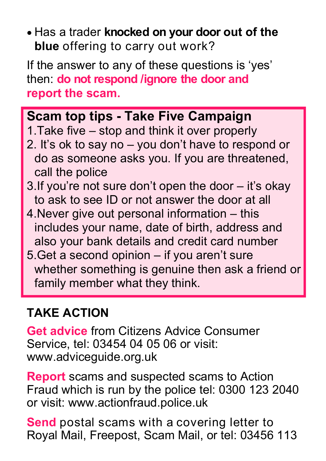Has a trader **knocked on your door out of the blue** offering to carry out work?

If the answer to any of these questions is 'yes' then: **do not respond /ignore the door and report the scam.** 

#### **Scam top tips - Take Five Campaign**

- 1.Take five stop and think it over properly
- 2. It's ok to say no you don't have to respond or do as someone asks you. If you are threatened, call the police
- 3.If you're not sure don't open the door it's okay to ask to see ID or not answer the door at all
- 4.Never give out personal information this includes your name, date of birth, address and also your bank details and credit card number
- 5.Get a second opinion if you aren't sure whether something is genuine then ask a friend or family member what they think.

#### **TAKE ACTION**

**Get advice** from Citizens Advice Consumer Service, tel: 03454 04 05 06 or visit: www.adviceguide.org.uk

**Report** scams and suspected scams to Action Fraud which is run by the police tel: 0300 123 2040 or visit: www.actionfraud.police.uk

**Send** postal scams with a covering letter to Royal Mail, Freepost, Scam Mail, or tel: 03456 113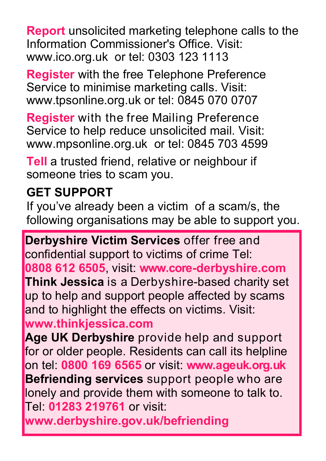**Report** unsolicited marketing telephone calls to the Information Commissioner's Office. Visit: www.ico.org.uk or tel: 0303 123 1113

**Register** with the free Telephone Preference Service to minimise marketing calls. Visit: www.tpsonline.org.uk or tel: 0845 070 0707

**Register** with the free Mailing Preference Service to help reduce unsolicited mail. Visit: www.mpsonline.org.uk or tel: 0845 703 4599

**Tell** a trusted friend, relative or neighbour if someone tries to scam you.

#### **GET SUPPORT**

If you've already been a victim of a scam/s, the following organisations may be able to support you.

**Derbyshire V[ictim Services](http://www.victimsupport.org.uk/)** offer free and confidential support to victims of crime Tel: **0808 612 6505**, visit: **[www.co](http://www.victimsupport.org.uk)re-derbyshire.com Think Jessica** is a Derbyshire-based charity set up to help and support people affected by scams and to highlight the effects on victims. Visit:

#### **[www.thinkjessica.com](http://www.thinkjessica.com)**

**Age UK Derbyshire** provide help and support for or older people. Residents can call its helpline on tel: **0800 169 6565** or visit: **www.ageuk.org.uk Befriending services** support people who are lonely and provide them with someone to talk to. Tel: **01283 219761** or visit:

**[www.derbyshire.gov.uk/befriending](http://www.derbyshirebefriending.org.uk)**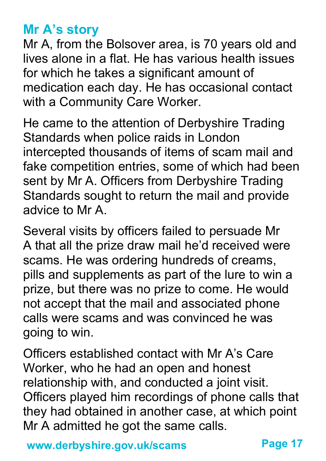#### **Mr A's story**

Mr A, from the Bolsover area, is 70 years old and lives alone in a flat. He has various health issues for which he takes a significant amount of medication each day. He has occasional contact with a Community Care Worker.

He came to the attention of Derbyshire Trading Standards when police raids in London intercepted thousands of items of scam mail and fake competition entries, some of which had been sent by Mr A. Officers from Derbyshire Trading Standards sought to return the mail and provide advice to Mr A.

Several visits by officers failed to persuade Mr A that all the prize draw mail he'd received were scams. He was ordering hundreds of creams, pills and supplements as part of the lure to win a prize, but there was no prize to come. He would not accept that the mail and associated phone calls were scams and was convinced he was going to win.

Officers established contact with Mr A's Care Worker, who he had an open and honest relationship with, and conducted a joint visit. Officers played him recordings of phone calls that they had obtained in another case, at which point Mr A admitted he got the same calls.

**www.derbyshire.gov.uk/scams**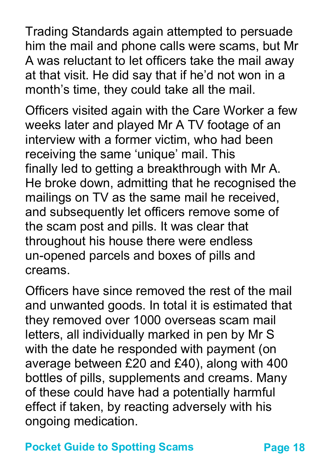Trading Standards again attempted to persuade him the mail and phone calls were scams, but Mr A was reluctant to let officers take the mail away at that visit. He did say that if he'd not won in a month's time, they could take all the mail.

Officers visited again with the Care Worker a few weeks later and played Mr A TV footage of an interview with a former victim, who had been receiving the same 'unique' mail. This finally led to getting a breakthrough with Mr A. He broke down, admitting that he recognised the mailings on TV as the same mail he received, and subsequently let officers remove some of the scam post and pills. It was clear that throughout his house there were endless un-opened parcels and boxes of pills and creams.

Officers have since removed the rest of the mail and unwanted goods. In total it is estimated that they removed over 1000 overseas scam mail letters, all individually marked in pen by Mr S with the date he responded with payment (on average between £20 and £40), along with 400 bottles of pills, supplements and creams. Many of these could have had a potentially harmful effect if taken, by reacting adversely with his ongoing medication.

#### **Pocket Guide to Spotting Scams Page 18**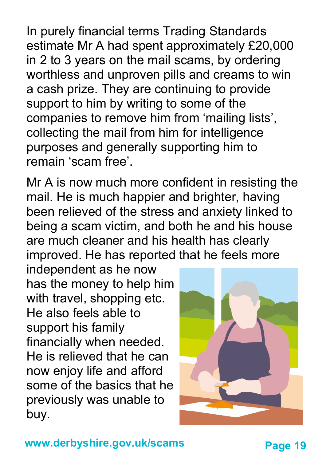In purely financial terms Trading Standards estimate Mr A had spent approximately £20,000 in 2 to 3 years on the mail scams, by ordering worthless and unproven pills and creams to win a cash prize. They are continuing to provide support to him by writing to some of the companies to remove him from 'mailing lists', collecting the mail from him for intelligence purposes and generally supporting him to remain 'scam free'.

Mr A is now much more confident in resisting the mail. He is much happier and brighter, having been relieved of the stress and anxiety linked to being a scam victim, and both he and his house are much cleaner and his health has clearly improved. He has reported that he feels more

independent as he now has the money to help him with travel, shopping etc. He also feels able to support his family financially when needed. He is relieved that he can now enjoy life and afford some of the basics that he previously was unable to buy.

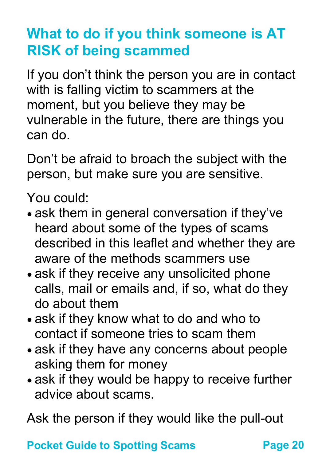# **What to do if you think someone is AT RISK of being scammed**

If you don't think the person you are in contact with is falling victim to scammers at the moment, but you believe they may be vulnerable in the future, there are things you can do.

Don't be afraid to broach the subject with the person, but make sure you are sensitive.

You could:

- ask them in general conversation if they've heard about some of the types of scams described in this leaflet and whether they are aware of the methods scammers use
- ask if they receive any unsolicited phone calls, mail or emails and, if so, what do they do about them
- ask if they know what to do and who to contact if someone tries to scam them
- ask if they have any concerns about people asking them for money
- ask if they would be happy to receive further advice about scams.

Ask the person if they would like the pull-out

**Pocket Guide to Spotting Scams Page 20**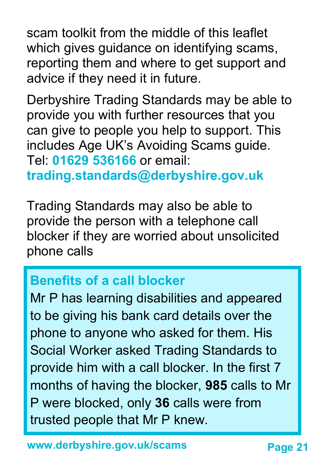scam toolkit from the middle of this leaflet which gives guidance on identifying scams, reporting them and where to get support and advice if they need it in future.

Derbyshire Trading Standards may be able to provide you with further resources that you can give to people you help to support. This includes Age UK's Avoiding Scams guide. Tel: **01629 536166** or email: **trading.standards@derbyshire.gov.uk**

Trading Standards may also be able to provide the person with a telephone call blocker if they are worried about unsolicited phone calls

#### **Benefits of a call blocker**

Mr P has learning disabilities and appeared to be giving his bank card details over the phone to anyone who asked for them. His Social Worker asked Trading Standards to provide him with a call blocker. In the first 7 months of having the blocker, **985** calls to Mr P were blocked, only **36** calls were from trusted people that Mr P knew.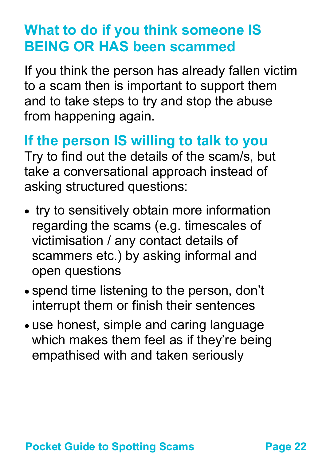# **What to do if you think someone IS BEING OR HAS been scammed**

If you think the person has already fallen victim to a scam then is important to support them and to take steps to try and stop the abuse from happening again.

**If the person IS willing to talk to you** Try to find out the details of the scam/s, but take a conversational approach instead of asking structured questions:

- try to sensitively obtain more information regarding the scams (e.g. timescales of victimisation / any contact details of scammers etc.) by asking informal and open questions
- spend time listening to the person, don't interrupt them or finish their sentences
- use honest, simple and caring language which makes them feel as if they're being empathised with and taken seriously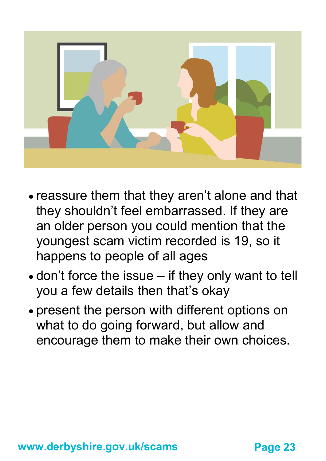

- reassure them that they aren't alone and that they shouldn't feel embarrassed. If they are an older person you could mention that the youngest scam victim recorded is 19, so it happens to people of all ages
- don't force the issue if they only want to tell you a few details then that's okay
- present the person with different options on what to do going forward, but allow and encourage them to make their own choices.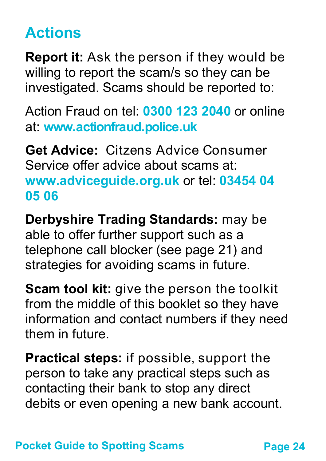# **Actions**

**Report it:** Ask the person if they would be willing to report the scam/s so they can be investigated. Scams should be reported to:

Action Fraud on tel: **0300 123 2040** or online at: **[www.actionfraud.police.uk](http://www.actionfraud.police.uk)**

**Get Advice:** Citzens Advice Consumer Service offer advice about scams at: **[www.adviceguide.org.uk](http://www.adviceguide.org.uk)** or tel: **03454 04 05 06** 

**Derbyshire Trading Standards:** may be able to offer further support such as a telephone call blocker (see page 21) and strategies for avoiding scams in future.

**Scam tool kit:** give the person the toolkit from the middle of this booklet so they have information and contact numbers if they need them in future.

**Practical steps:** if possible, support the person to take any practical steps such as contacting their bank to stop any direct debits or even opening a new bank account.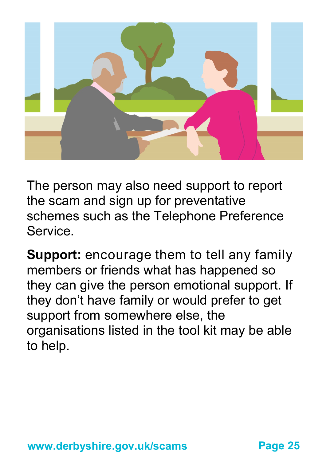

The person may also need support to report the scam and sign up for preventative schemes such as the Telephone Preference Service.

**Support:** encourage them to tell any family members or friends what has happened so they can give the person emotional support. If they don't have family or would prefer to get support from somewhere else, the organisations listed in the tool kit may be able to help.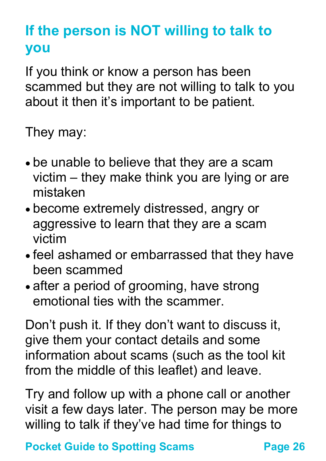# **If the person is NOT willing to talk to you**

If you think or know a person has been scammed but they are not willing to talk to you about it then it's important to be patient.

They may:

- be unable to believe that they are a scam victim – they make think you are lying or are mistaken
- become extremely distressed, angry or aggressive to learn that they are a scam victim
- feel ashamed or embarrassed that they have been scammed
- after a period of grooming, have strong emotional ties with the scammer.

Don't push it. If they don't want to discuss it, give them your contact details and some information about scams (such as the tool kit from the middle of this leaflet) and leave.

Try and follow up with a phone call or another visit a few days later. The person may be more willing to talk if they've had time for things to

**Pocket Guide to Spotting Scams Page 26**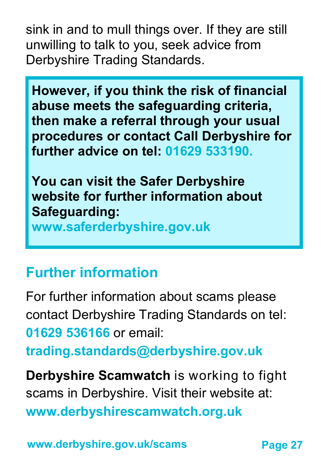sink in and to mull things over. If they are still unwilling to talk to you, seek advice from Derbyshire Trading Standards.

**However, if you think the risk of financial abuse meets the safeguarding criteria, then make a referral through your usual procedures or contact Call Derbyshire for further advice on tel: 01629 533190.**

**You can visit the Safer Derbyshire website for further information about Safeguarding:** 

**www.saferderbyshire.gov.uk**

## **Further information**

For further information about scams please contact Derbyshire Trading Standards on tel: **01629 536166** or email:

**trading.standards@derbyshire.gov.uk**

**Derbyshire Scamwatch** is working to fight scams in Derbyshire. Visit their website at: **www.derbyshirescamwatch.org.uk**

**www.derbyshire.gov.uk/scams**

**Page 27**